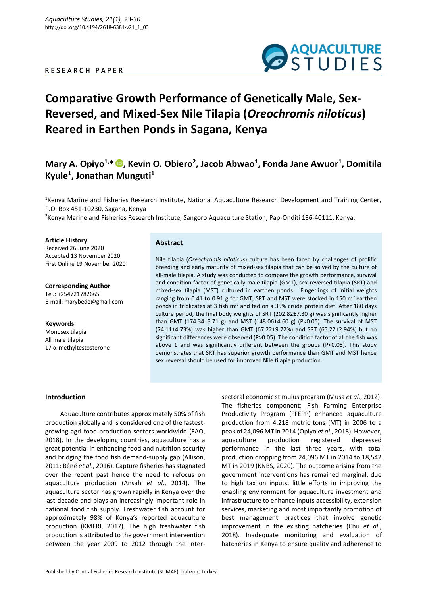### R E S E A R C H P A P E R



# **Comparative Growth Performance of Genetically Male, Sex-Reversed, and Mixed-Sex Nile Tilapia (***Oreochromis niloticus***) Reared in Earthen Ponds in Sagana, Kenya**

## **Mary A. Opiyo1,\* , Kevin O. Obiero<sup>2</sup> , Jacob Abwao<sup>1</sup> , Fonda Jane Awuor<sup>1</sup> , Domitila Kyule<sup>1</sup> , Jonathan Munguti<sup>1</sup>**

<sup>1</sup>Kenya Marine and Fisheries Research Institute, National Aquaculture Research Development and Training Center, P.O. Box 451-10230, Sagana, Kenya

<sup>2</sup>Kenya Marine and Fisheries Research Institute, Sangoro Aquaculture Station, Pap-Onditi 136-40111, Kenya.

**Article History**

Received 26 June 2020 Accepted 13 November 2020 First Online 19 November 2020

**Corresponding Author** Tel.: +254721782665 E-mail: marybede@gmail.com

#### **Keywords**

Monosex tilapia All male tilapia 17 α-methyltestosterone

#### **Abstract**

Nile tilapia (*Oreochromis niloticus*) culture has been faced by challenges of prolific breeding and early maturity of mixed-sex tilapia that can be solved by the culture of all-male tilapia. A study was conducted to compare the growth performance, survival and condition factor of genetically male tilapia (GMT), sex-reversed tilapia (SRT) and mixed-sex tilapia (MST) cultured in earthen ponds. Fingerlings of initial weights ranging from 0.41 to 0.91 g for GMT, SRT and MST were stocked in 150 m<sup>2</sup> earthen ponds in triplicates at 3 fish m<sup>-2</sup> and fed on a 35% crude protein diet. After 180 days culture period, the final body weights of SRT (202.82±7.30 g) was significantly higher than GMT (174.34±3.71 g) and MST (148.06±4.60 g) (P<0.05). The survival of MST (74.11±4.73%) was higher than GMT (67.22±9.72%) and SRT (65.22±2.94%) but no significant differences were observed (P>0.05). The condition factor of all the fish was above 1 and was significantly different between the groups (P<0.05). This study demonstrates that SRT has superior growth performance than GMT and MST hence sex reversal should be used for improved Nile tilapia production.

#### **Introduction**

Aquaculture contributes approximately 50% of fish production globally and is considered one of the fastestgrowing agri-food production sectors worldwide (FAO, 2018). In the developing countries, aquaculture has a great potential in enhancing food and nutrition security and bridging the food fish demand-supply gap (Allison, 2011; Béné *et al*., 2016). Capture fisheries has stagnated over the recent past hence the need to refocus on aquaculture production (Ansah *et al*., 2014). The aquaculture sector has grown rapidly in Kenya over the last decade and plays an increasingly important role in national food fish supply. Freshwater fish account for approximately 98% of Kenya's reported aquaculture production (KMFRI, 2017). The high freshwater fish production is attributed to the government intervention between the year 2009 to 2012 through the intersectoral economic stimulus program (Musa *et al*., 2012). The fisheries component; Fish Farming Enterprise Productivity Program (FFEPP) enhanced aquaculture production from 4,218 metric tons (MT) in 2006 to a peak of 24,096 MT in 2014 (Opiyo *et al.*, 2018). However, aquaculture production registered depressed performance in the last three years, with total production dropping from 24,096 MT in 2014 to 18,542 MT in 2019 (KNBS, 2020). The outcome arising from the government interventions has remained marginal, due to high tax on inputs, little efforts in improving the enabling environment for aquaculture investment and infrastructure to enhance inputs accessibility, extension services, marketing and most importantly promotion of best management practices that involve genetic improvement in the existing hatcheries (Chu *et al*., 2018). Inadequate monitoring and evaluation of hatcheries in Kenya to ensure quality and adherence to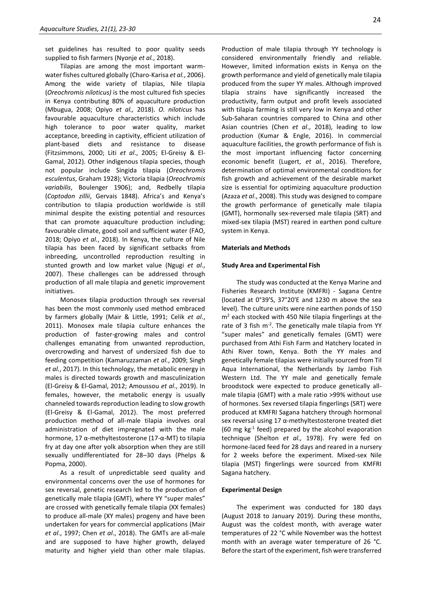set guidelines has resulted to poor quality seeds supplied to fish farmers (Nyonje *et al.*, 2018).

Tilapias are among the most important warmwater fishes cultured globally (Charo-Karisa *et al.*, 2006). Among the wide variety of tilapias, Nile tilapia (*Oreochromis niloticus)* is the most cultured fish species in Kenya contributing 80% of aquaculture production (Mbugua, 2008; Opiyo *et al.,* 2018). *O. niloticus* has favourable aquaculture characteristics which include high tolerance to poor water quality, market acceptance, breeding in captivity, efficient utilization of plant-based diets and resistance to disease (Fitzsimmons, 2000; Liti *et al*., 2005; El-Greisy & El-Gamal, 2012). Other indigenous tilapia species, though not popular include Singida tilapia (*Oreochromis esculentus*, Graham 1928); Victoria tilapia (*Oreochromis variabilis*, Boulenger 1906); and, Redbelly tilapia (*Coptodon zillii*, Gervais 1848). Africa's and Kenya's contribution to tilapia production worldwide is still minimal despite the existing potential and resources that can promote aquaculture production including; favourable climate, good soil and sufficient water (FAO, 2018; Opiyo *et al.*, 2018). In Kenya, the culture of Nile tilapia has been faced by significant setbacks from inbreeding, uncontrolled reproduction resulting in stunted growth and low market value (Ngugi *et al*., 2007). These challenges can be addressed through production of all male tilapia and genetic improvement initiatives.

Monosex tilapia production through sex reversal has been the most commonly used method embraced by farmers globally (Mair & Little, 1991; Celik *et al*., 2011). Monosex male tilapia culture enhances the production of faster-growing males and control challenges emanating from unwanted reproduction, overcrowding and harvest of undersized fish due to feeding competition (Kamaruzzaman *et al.*, 2009; Singh *et al.*, 2017). In this technology, the metabolic energy in males is directed towards growth and masculinization (El-Greisy & El-Gamal, 2012; Amoussou *et al*., 2019). In females, however, the metabolic energy is usually channeled towards reproduction leading to slow growth (El-Greisy & El-Gamal, 2012). The most preferred production method of all-male tilapia involves oral administration of diet impregnated with the male hormone, 17 α-methyltestosterone (17-α-MT) to tilapia fry at day one after yolk absorption when they are still sexually undifferentiated for 28–30 days (Phelps & Popma, 2000).

As a result of unpredictable seed quality and environmental concerns over the use of hormones for sex reversal, genetic research led to the production of genetically male tilapia (GMT), where YY "super males" are crossed with genetically female tilapia (XX females) to produce all-male (XY males) progeny and have been undertaken for years for commercial applications (Mair *et al*., 1997; Chen *et al*., 2018). The GMTs are all-male and are supposed to have higher growth, delayed maturity and higher yield than other male tilapias. Production of male tilapia through YY technology is considered environmentally friendly and reliable. However, limited information exists in Kenya on the growth performance and yield of genetically male tilapia produced from the super YY males. Although improved tilapia strains have significantly increased the productivity, farm output and profit levels associated with tilapia farming is still very low in Kenya and other Sub-Saharan countries compared to China and other Asian countries (Chen *et al*., 2018), leading to low production (Kumar & Engle, 2016). In commercial aquaculture facilities, the growth performance of fish is the most important influencing factor concerning economic benefit (Lugert, *et al.*, 2016). Therefore, determination of optimal environmental conditions for fish growth and achievement of the desirable market size is essential for optimizing aquaculture production (Azaza *et al*., 2008). This study was designed to compare the growth performance of genetically male tilapia (GMT), hormonally sex-reversed male tilapia (SRT) and mixed-sex tilapia (MST) reared in earthen pond culture system in Kenya.

#### **Materials and Methods**

#### **Study Area and Experimental Fish**

The study was conducted at the Kenya Marine and Fisheries Research Institute (KMFRI) - Sagana Centre (located at 0°39'S, 37°20'E and 1230 m above the sea level). The culture units were nine earthen ponds of 150  $m<sup>2</sup>$  each stocked with 450 Nile tilapia fingerlings at the rate of 3 fish m<sup>-2</sup>. The genetically male tilapia from YY "super males" and genetically females (GMT) were purchased from Athi Fish Farm and Hatchery located in Athi River town, Kenya. Both the YY males and genetically female tilapias were initially sourced from Til Aqua International, the Netherlands by Jambo Fish Western Ltd. The YY male and genetically female broodstock were expected to produce genetically allmale tilapia (GMT) with a male ratio >99% without use of hormones. Sex reversed tilapia fingerlings (SRT) were produced at KMFRI Sagana hatchery through hormonal sex reversal using 17 α-methyltestosterone treated diet (60 mg kg-1 feed) prepared by the alcohol evaporation technique (Shelton *et al.,* 1978). Fry were fed on hormone-laced feed for 28 days and reared in a nursery for 2 weeks before the experiment. Mixed-sex Nile tilapia (MST) fingerlings were sourced from KMFRI Sagana hatchery.

#### **Experimental Design**

The experiment was conducted for 180 days (August 2018 to January 2019). During these months, August was the coldest month, with average water temperatures of 22 °C while November was the hottest month with an average water temperature of 26 °C. Before the start of the experiment, fish were transferred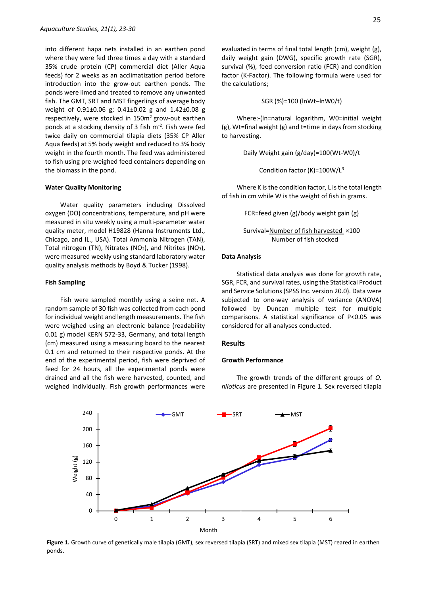into different hapa nets installed in an earthen pond where they were fed three times a day with a standard 35% crude protein (CP) commercial diet (Aller Aqua feeds) for 2 weeks as an acclimatization period before introduction into the grow-out earthen ponds. The ponds were limed and treated to remove any unwanted fish. The GMT, SRT and MST fingerlings of average body weight of 0.91±0.06 g; 0.41±0.02 g and 1.42±0.08 g respectively, were stocked in  $150m^2$  grow-out earthen ponds at a stocking density of 3 fish m<sup>-2</sup>. Fish were fed twice daily on commercial tilapia diets (35% CP Aller Aqua feeds) at 5% body weight and reduced to 3% body weight in the fourth month. The feed was administered to fish using pre-weighed feed containers depending on the biomass in the pond.

#### **Water Quality Monitoring**

Water quality parameters including Dissolved oxygen (DO) concentrations, temperature, and pH were measured in situ weekly using a multi-parameter water quality meter, model H19828 (Hanna Instruments Ltd., Chicago, and IL., USA). Total Ammonia Nitrogen (TAN), Total nitrogen (TN), Nitrates ( $NO<sub>2</sub>$ ), and Nitrites ( $NO<sub>3</sub>$ ), were measured weekly using standard laboratory water quality analysis methods by Boyd & Tucker (1998).

#### **Fish Sampling**

Fish were sampled monthly using a seine net. A random sample of 30 fish was collected from each pond for individual weight and length measurements. The fish were weighed using an electronic balance (readability 0.01 g) model KERN 572-33, Germany, and total length (cm) measured using a measuring board to the nearest 0.1 cm and returned to their respective ponds. At the end of the experimental period, fish were deprived of feed for 24 hours, all the experimental ponds were drained and all the fish were harvested, counted, and weighed individually. Fish growth performances were evaluated in terms of final total length (cm), weight (g), daily weight gain (DWG), specific growth rate (SGR), survival (%), feed conversion ratio (FCR) and condition factor (K-Factor). The following formula were used for the calculations;

SGR (%)=100 (lnWt–lnW0/t)

Where:-(ln=natural logarithm, W0=initial weight (g), Wt=final weight (g) and t=time in days from stocking to harvesting.

Daily Weight gain (g/day)=100(Wt-W0)/t

Condition factor (K)=100W/L<sup>3</sup>

Where K is the condition factor, L is the total length of fish in cm while W is the weight of fish in grams.

FCR=feed given (g)/body weight gain (g)

```
Survival=Number of fish harvested ×100
Number of fish stocked
```
#### **Data Analysis**

Statistical data analysis was done for growth rate, SGR, FCR, and survival rates, using the Statistical Product and Service Solutions (SPSS Inc. version 20.0). Data were subjected to one-way analysis of variance (ANOVA) followed by Duncan multiple test for multiple comparisons. A statistical significance of P<0.05 was considered for all analyses conducted.

#### **Results**

#### **Growth Performance**

The growth trends of the different groups of *O. niloticus* are presented in Figure 1. Sex reversed tilapia



**Figure 1.** Growth curve of genetically male tilapia (GMT), sex reversed tilapia (SRT) and mixed sex tilapia (MST) reared in earthen ponds.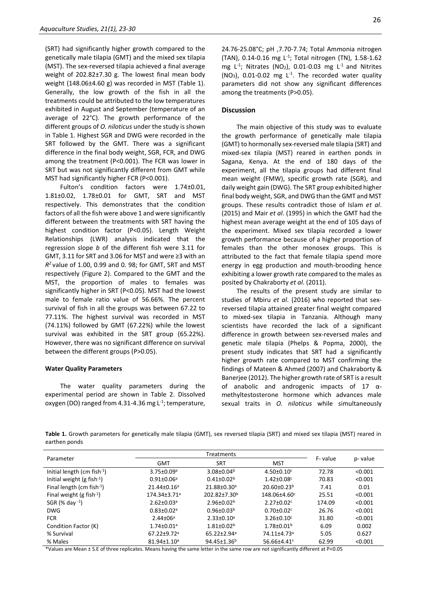(SRT) had significantly higher growth compared to the genetically male tilapia (GMT) and the mixed sex tilapia (MST). The sex-reversed tilapia achieved a final average weight of 202.82±7.30 g. The lowest final mean body weight (148.06±4.60 g) was recorded in MST (Table 1). Generally, the low growth of the fish in all the treatments could be attributed to the low temperatures exhibited in August and September (temperature of an average of 22°C). The growth performance of the different groups of *O. niloticus* under the study is shown in Table 1. Highest SGR and DWG were recorded in the SRT followed by the GMT. There was a significant difference in the final body weight, SGR, FCR, and DWG among the treatment (P<0.001). The FCR was lower in SRT but was not significantly different from GMT while MST had significantly higher FCR (P<0.001).

Fulton's condition factors were 1.74±0.01, 1.81±0.02, 1.78±0.01 for GMT, SRT and MST respectively. This demonstrates that the condition factors of all the fish were above 1 and were significantly different between the treatments with SRT having the highest condition factor (P<0.05). Length Weight Relationships (LWR) analysis indicated that the regression slope *b* of the different fish were 3.11 for GMT, 3.11 for SRT and 3.06 for MST and were ≥3 with an *R <sup>2</sup>*value of 1.00, 0.99 and 0. 98; for GMT, SRT and MST respectively (Figure 2). Compared to the GMT and the MST, the proportion of males to females was significantly higher in SRT (P<0.05). MST had the lowest male to female ratio value of 56.66%. The percent survival of fish in all the groups was between 67.22 to 77.11%. The highest survival was recorded in MST (74.11%) followed by GMT (67.22%) while the lowest survival was exhibited in the SRT group (65.22%). However, there was no significant difference on survival between the different groups (P>0.05).

#### **Water Quality Parameters**

The water quality parameters during the experimental period are shown in Table 2. Dissolved oxygen (DO) ranged from 4.31-4.36 mg  $L<sup>1</sup>$ ; temperature, 24.76-25.08°C; pH ,7.70-7.74; Total Ammonia nitrogen (TAN), 0.14-0.16 mg L<sup>-1</sup>; Total nitrogen (TN), 1.58-1.62 mg  $L^{-1}$ ; Nitrates (NO<sub>2</sub>), 0.01-0.03 mg  $L^{-1}$  and Nitrites  $(NO<sub>3</sub>)$ , 0.01-0.02 mg L<sup>-1</sup>. The recorded water quality parameters did not show any significant differences among the treatments (P>0.05).

#### **Discussion**

The main objective of this study was to evaluate the growth performance of genetically male tilapia (GMT) to hormonally sex-reversed male tilapia (SRT) and mixed-sex tilapia (MST) reared in earthen ponds in Sagana, Kenya. At the end of 180 days of the experiment, all the tilapia groups had different final mean weight (FMW), specific growth rate (SGR), and daily weight gain (DWG). The SRT group exhibited higher final body weight, SGR, and DWG than the GMT and MST groups. These results contradict those of Islam *et al*. (2015) and Mair *et al*. (1995) in which the GMT had the highest mean average weight at the end of 105 days of the experiment. Mixed sex tilapia recorded a lower growth performance because of a higher proportion of females than the other monosex groups. This is attributed to the fact that female tilapia spend more energy in egg production and mouth-brooding hence exhibiting a lower growth rate compared to the males as posited by Chakraborty *et al*. (2011).

The results of the present study are similar to studies of Mbiru *et al*. (2016) who reported that sexreversed tilapia attained greater final weight compared to mixed-sex tilapia in Tanzania. Although many scientists have recorded the lack of a significant difference in growth between sex-reversed males and genetic male tilapia (Phelps & Popma, 2000), the present study indicates that SRT had a significantly higher growth rate compared to MST confirming the findings of Mateen & Ahmed (2007) and Chakraborty & Banerjee (2012). The higher growth rate of SRT is a result of anabolic and androgenic impacts of 17 αmethyltestosterone hormone which advances male sexual traits in *O. niloticus* while simultaneously

**Table 1.** Growth parameters for genetically male tilapia (GMT), sex reversed tilapia (SRT) and mixed sex tilapia (MST) reared in earthen ponds

| Parameter                         | Treatments                   |                               |                              |         |         |
|-----------------------------------|------------------------------|-------------------------------|------------------------------|---------|---------|
|                                   | <b>GMT</b>                   | <b>SRT</b>                    | <b>MST</b>                   | F-value | p-value |
| Initial length (cm fish $^{-1}$ ) | $3.75 \pm 0.09$ <sup>a</sup> | $3.08 \pm 0.04^b$             | $4.50 \pm 0.10$ <sup>c</sup> | 72.78   | < 0.001 |
| Initial weight (g fish $-1$ )     | $0.91 \pm 0.06$ <sup>a</sup> | $0.41 \pm 0.02^b$             | $1.42 \pm 0.08$ c            | 70.83   | < 0.001 |
| Final length (cm fish $^{-1}$ )   | $21.44 \pm 0.16^a$           | 21.88±0.30 <sup>a</sup>       | $20.60 \pm 0.23^b$           | 7.41    | 0.01    |
| Final weight (g fish $^{-1}$ )    | 174.34±3.71ª                 | $202.82 \pm 7.30^b$           | 148.06±4.60c                 | 25.51   | < 0.001 |
| SGR $(\%$ day $^{-1})$            | $2.62 \pm 0.03$ <sup>a</sup> | $2.96 \pm 0.02^b$             | $2.27 \pm 0.02$ <sup>c</sup> | 174.09  | < 0.001 |
| <b>DWG</b>                        | $0.83 \pm 0.02$ <sup>a</sup> | $0.96 \pm 0.03^b$             | $0.70 \pm 0.02$ c            | 26.76   | < 0.001 |
| <b>FCR</b>                        | $2.44 \pm 06^a$              | $2.33 \pm 0.10^a$             | $3.26 \pm 0.10$ <sup>c</sup> | 31.80   | < 0.001 |
| Condition Factor (K)              | $1.74 \pm 0.01$ <sup>a</sup> | $1.81 \pm 0.02^b$             | $1.78 \pm 0.01^b$            | 6.09    | 0.002   |
| % Survival                        | $67.22 + 9.72$ <sup>a</sup>  | $65.22 \pm 2.94$ <sup>a</sup> | 74.11±4.73ª                  | 5.05    | 0.627   |
| % Males                           | $81.94 \pm 1.10^a$           | $94.45 \pm 1.36^b$            | 56.66±4.41 <sup>c</sup>      | 62.99   | < 0.001 |

\*Values are Mean ± S.E of three replicates. Means having the same letter in the same row are not significantly different at P<0.05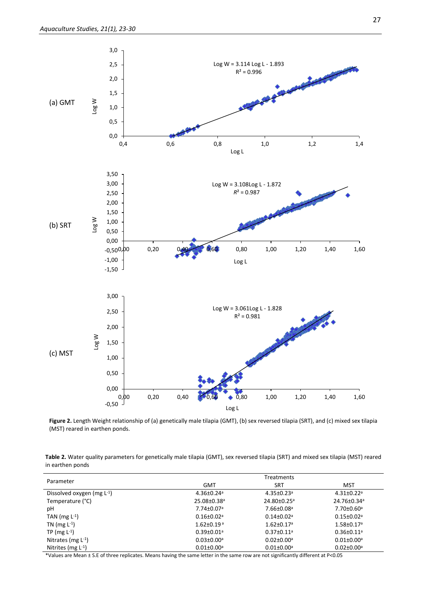

Figure 2. Length Weight relationship of (a) genetically male tilapia (GMT), (b) sex reversed tilapia (SRT), and (c) mixed sex tilapia (MST) reared in earthen ponds.

**Table 2.** Water quality parameters for genetically male tilapia (GMT), sex reversed tilapia (SRT) and mixed sex tilapia (MST) reared in earthen ponds

| Parameter                       | Treatments                   |                              |                              |  |  |
|---------------------------------|------------------------------|------------------------------|------------------------------|--|--|
|                                 | GMT                          | SRT                          | MST                          |  |  |
| Dissolved oxygen (mg $L^{-1}$ ) | $4.36 \pm 0.24$ <sup>a</sup> | $4.35 \pm 0.23$ <sup>a</sup> | $4.31 \pm 0.22$ <sup>a</sup> |  |  |
| Temperature (°C)                | 25.08±0.38 <sup>a</sup>      | 24.80±0.25 <sup>a</sup>      | 24.76±0.34 <sup>a</sup>      |  |  |
| рH                              | $7.74 \pm 0.07$ <sup>a</sup> | $7.66 \pm 0.08$ <sup>a</sup> | $7.70 \pm 0.60$ <sup>a</sup> |  |  |
| TAN (mg $L^{-1}$ )              | $0.16 \pm 0.02$ <sup>a</sup> | $0.14 \pm 0.02$ <sup>a</sup> | $0.15 \pm 0.02$ <sup>a</sup> |  |  |
| TN (mg $L^{-1}$ )               | $1.62 \pm 0.19$ <sup>a</sup> | $1.62 \pm 0.17$ <sup>a</sup> | $1.58 \pm 0.17$ <sup>a</sup> |  |  |
| TP (mg $L^{-1}$ )               | $0.39 \pm 0.01$ <sup>a</sup> | $0.37 \pm 0.11$ <sup>a</sup> | $0.36 \pm 0.11$ <sup>a</sup> |  |  |
| Nitrates (mg $L^{-1}$ )         | $0.03 \pm 0.00$ <sup>a</sup> | $0.02 \pm 0.00$ <sup>a</sup> | $0.01 \pm 0.00$ <sup>a</sup> |  |  |
| Nitrites (mg $L^{-1}$ )         | $0.01 \pm 0.00$ <sup>a</sup> | $0.01 \pm 0.00$ <sup>a</sup> | $0.02 \pm 0.00$ <sup>a</sup> |  |  |

\*Values are Mean ± S.E of three replicates. Means having the same letter in the same row are not significantly different at P<0.05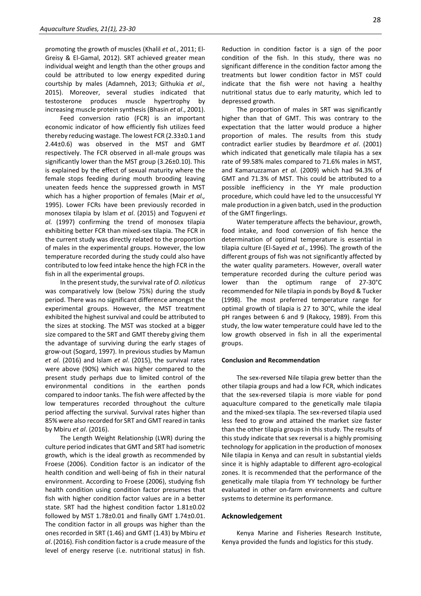promoting the growth of muscles (Khalil *et al.*, 2011; El-Greisy & El-Gamal, 2012). SRT achieved greater mean individual weight and length than the other groups and could be attributed to low energy expedited during courtship by males (Adamneh, 2013; Githukia *et al.,* 2015). Moreover, several studies indicated that testosterone produces muscle hypertrophy by increasing muscle protein synthesis (Bhasin *et al*., 2001).

Feed conversion ratio (FCR) is an important economic indicator of how efficiently fish utilizes feed thereby reducing wastage. The lowest FCR (2.33±0.1 and 2.44±0.6) was observed in the MST and GMT respectively. The FCR observed in all-male groups was significantly lower than the MST group (3.26±0.10). This is explained by the effect of sexual maturity where the female stops feeding during mouth brooding leaving uneaten feeds hence the suppressed growth in MST which has a higher proportion of females (Mair *et al.,* 1995). Lower FCRs have been previously recorded in monosex tilapia by Islam *et al*. (2015) and Toguyeni *et al.* (1997) confirming the trend of monosex tilapia exhibiting better FCR than mixed-sex tilapia. The FCR in the current study was directly related to the proportion of males in the experimental groups. However, the low temperature recorded during the study could also have contributed to low feed intake hence the high FCR in the fish in all the experimental groups.

In the present study, the survival rate of *O. niloticus* was comparatively low (below 75%) during the study period. There was no significant difference amongst the experimental groups. However, the MST treatment exhibited the highest survival and could be attributed to the sizes at stocking. The MST was stocked at a bigger size compared to the SRT and GMT thereby giving them the advantage of surviving during the early stages of grow-out (Sogard, 1997). In previous studies by Mamun *et al.* (2016) and Islam *et al*. (2015), the survival rates were above (90%) which was higher compared to the present study perhaps due to limited control of the environmental conditions in the earthen ponds compared to indoor tanks. The fish were affected by the low temperatures recorded throughout the culture period affecting the survival. Survival rates higher than 85% were also recorded for SRT and GMT reared in tanks by Mbiru *et al*. (2016).

The Length Weight Relationship (LWR) during the culture period indicates that GMT and SRT had isometric growth, which is the ideal growth as recommended by Froese (2006). Condition factor is an indicator of the health condition and well-being of fish in their natural environment. According to Froese (2006), studying fish health condition using condition factor presumes that fish with higher condition factor values are in a better state. SRT had the highest condition factor 1.81±0.02 followed by MST 1.78±0.01 and finally GMT 1.74±0.01. The condition factor in all groups was higher than the ones recorded in SRT (1.46) and GMT (1.43) by Mbiru *et al*. (2016). Fish condition factor is a crude measure of the level of energy reserve (i.e. nutritional status) in fish. Reduction in condition factor is a sign of the poor condition of the fish. In this study, there was no significant difference in the condition factor among the treatments but lower condition factor in MST could indicate that the fish were not having a healthy nutritional status due to early maturity, which led to depressed growth.

The proportion of males in SRT was significantly higher than that of GMT. This was contrary to the expectation that the latter would produce a higher proportion of males. The results from this study contradict earlier studies by Beardmore *et al*. (2001) which indicated that genetically male tilapia has a sex rate of 99.58% males compared to 71.6% males in MST, and Kamaruzzaman *et al*. (2009) which had 94.3% of GMT and 71.3% of MST. This could be attributed to a possible inefficiency in the YY male production procedure, which could have led to the unsuccessful YY male production in a given batch, used in the production of the GMT fingerlings.

Water temperature affects the behaviour, growth, food intake, and food conversion of fish hence the determination of optimal temperature is essential in tilapia culture (El-Sayed *et al*., 1996). The growth of the different groups of fish was not significantly affected by the water quality parameters. However, overall water temperature recorded during the culture period was lower than the optimum range of 27-30°C recommended for Nile tilapia in ponds by Boyd & Tucker (1998). The most preferred temperature range for optimal growth of tilapia is 27 to 30°C, while the ideal pH ranges between 6 and 9 (Rakocy, 1989). From this study, the low water temperature could have led to the low growth observed in fish in all the experimental groups.

#### **Conclusion and Recommendation**

The sex-reversed Nile tilapia grew better than the other tilapia groups and had a low FCR, which indicates that the sex-reversed tilapia is more viable for pond aquaculture compared to the genetically male tilapia and the mixed-sex tilapia. The sex-reversed tilapia used less feed to grow and attained the market size faster than the other tilapia groups in this study. The results of this study indicate that sex reversal is a highly promising technology for application in the production of monosex Nile tilapia in Kenya and can result in substantial yields since it is highly adaptable to different agro-ecological zones. It is recommended that the performance of the genetically male tilapia from YY technology be further evaluated in other on-farm environments and culture systems to determine its performance.

#### **Acknowledgement**

Kenya Marine and Fisheries Research Institute, Kenya provided the funds and logistics for this study.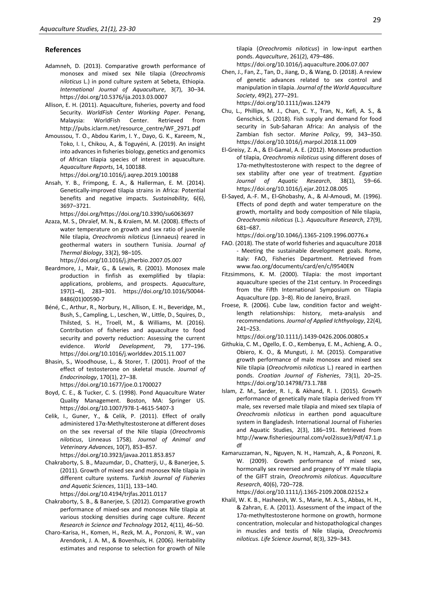#### **References**

- Adamneh, D. (2013). Comparative growth performance of monosex and mixed sex Nile tilapia (*Oreochromis niloticus* L.) in pond culture system at Sebeta, Ethiopia. *International Journal of Aquaculture*, 3(7), 30–34. https://doi.org/10.5376/ija.2013.03.0007
- Allison, E. H. (2011). Aquaculture, fisheries, poverty and food Security. *WorldFish Center Working Paper*. Penang, Malaysia: WorldFish Center. Retrieved from http://pubs.iclarm.net/resource\_centre/WF\_2971.pdf
- Amoussou, T. O., Abdou Karim, I. Y., Dayo, G. K., Kareem, N., Toko, I. I., Chikou, A., & Toguyéni, A. (2019). An insight into advances in fisheries biology, genetics and genomics of African tilapia species of interest in aquaculture. *Aquaculture Reports*, 14, 100188.
	- https://doi.org/10.1016/j.aqrep.2019.100188
- Ansah, Y. B., Frimpong, E. A., & Hallerman, E. M. (2014). Genetically-improved tilapia strains in Africa: Potential benefits and negative impacts. *Sustainability*, 6(6), 3697–3721.

https://doi.org/https://doi.org/10.3390/su6063697

- Azaza, M. S., Dhraïef, M. N., & Kraïem, M. M. (2008). Effects of water temperature on growth and sex ratio of juvenile Nile tilapia, *Oreochromis niloticus* (Linnaeus) reared in geothermal waters in southern Tunisia. *Journal of Thermal Biology*, 33(2), 98–105. https://doi.org/10.1016/j.jtherbio.2007.05.007
- Beardmore, J., Mair, G., & Lewis, R. (2001). Monosex male production in finfish as exemplified by tilapia: applications, problems, and prospects. *Aquaculture*, 197(1–4), 283–301. https://doi.org/10.1016/S0044- 8486(01)00590-7
- Béné, C., Arthur, R., Norbury, H., Allison, E. H., Beveridge, M., Bush, S., Campling, L., Leschen, W., Little, D., Squires, D., Thilsted, S. H., Troell, M., & Williams, M. (2016). Contribution of fisheries and aquaculture to food security and poverty reduction: Assessing the current evidence. *World Development*, 79, 177–196. https://doi.org/10.1016/j.worlddev.2015.11.007
- Bhasin, S., Woodhouse, L., & Storer, T. (2001). Proof of the effect of testosterone on skeletal muscle. *Journal of Endocrinology*, 170(1), 27–38.
	- https://doi.org/10.1677/joe.0.1700027
- Boyd, C. E., & Tucker, C. S. (1998). Pond Aquaculture Water Quality Management. Boston, MA: Springer US. https://doi.org/10.1007/978-1-4615-5407-3
- Celik, I., Guner, Y., & Celik, P. (2011). Effect of orally administered 17α-Methyltestosterone at different doses on the sex reversal of the Nile tilapia (*Oreochromis niloticus*, Linneaus 1758). *Journal of Animal and Veterinary Advances*, 10(7), 853–857. https://doi.org/10.3923/javaa.2011.853.857
- Chakraborty, S. B., Mazumdar, D., Chatterji, U., & Banerjee, S. (2011). Growth of mixed sex and monosex Nile tilapia in different culture systems. *Turkish Journal of Fisheries and Aquatic Sciences*, 11(1), 133–140. https://doi.org/10.4194/trjfas.2011.0117
- Chakraborty, S. B., & Banerjee, S. (2012). Comparative growth performance of mixed-sex and monosex Nile tilapia at various stocking densities during cage culture. *Recent Research in Science and Technology* 2012, 4(11), 46–50.
- Charo-Karisa, H., Komen, H., Rezk, M. A., Ponzoni, R. W., van Arendonk, J. A. M., & Bovenhuis, H. (2006). Heritability estimates and response to selection for growth of Nile

tilapia (*Oreochromis niloticus*) in low-input earthen ponds. *Aquaculture*, 261(2), 479–486.

- https://doi.org/10.1016/j.aquaculture.2006.07.007
- Chen, J., Fan, Z., Tan, D., Jiang, D., & Wang, D. (2018). A review of genetic advances related to sex control and manipulation in tilapia. *Journal of the World Aquaculture Society*, 49(2), 277–291. https://doi.org/10.1111/jwas.12479
- Chu, L., Phillips, M. J., Chan, C. Y., Tran, N., Kefi, A. S., & Genschick, S. (2018). Fish supply and demand for food security in Sub-Saharan Africa: An analysis of the Zambian fish sector. *Marine Policy*, 99, 343–350. https://doi.org/10.1016/j.marpol.2018.11.009
- El-Greisy, Z. A., & El-Gamal, A. E. (2012). Monosex production of tilapia, *Oreochromis niloticus* using different doses of 17α-methyltestosterone with respect to the degree of sex stability after one year of treatment*. Egyptian Journal of Aquatic Research*, 38(1), 59–66. https://doi.org/10.1016/j.ejar.2012.08.005
- El-Sayed, A.-F. M., El-Ghobashy, A., & Al-Amoudi, M. (1996). Effects of pond depth and water temperature on the growth, mortality and body composition of Nile tilapia, *Oreochromis niloticus* (L.). *Aquaculture Research*, 27(9), 681–687.

https://doi.org/10.1046/j.1365-2109.1996.00776.x

- FAO. (2018). The state of world fisheries and aquaculture 2018 - Meeting the sustainable development goals. Rome, Italy: FAO, Fisheries Department. Retrieved from www.fao.org/documents/card/en/c/I9540EN
- Fitzsimmons, K. M. (2000). Tilapia: the most important aquaculture species of the 21st century. In Proceedings from the Fifth International Symposium on Tilapia Aquaculture (pp. 3–8). Rio de Janeiro, Brazil.
- Froese, R. (2006). Cube law, condition factor and weightlength relationships: history, meta-analysis and recommendations*. Journal of Applied Ichthyology*, 22(4), 241–253.

https://doi.org/10.1111/j.1439-0426.2006.00805.x

- Githukia, C. M., Ogello, E. O., Kembenya, E. M., Achieng, A. O., Obiero, K. O., & Munguti, J. M. (2015). Comparative growth performance of male monosex and mixed sex Nile tilapia (*Oreochromis niloticus* L.) reared in earthen ponds. *Croatian Journal of Fisheries*, 73(1), 20–25. https://doi.org/10.14798/73.1.788
- Islam, Z. M., Sarder, R. I., & Akhand, R. I. (2015). Growth performance of genetically male tilapia derived from YY male, sex reversed male tilapia and mixed sex tilapia of *Oreochromis niloticus* in earthen pond aquaculture system in Bangladesh. International Journal of Fisheries and Aquatic Studies, 2(3), 186–191. Retrieved from http://www.fisheriesjournal.com/vol2issue3/Pdf/47.1.p df
- Kamaruzzaman, N., Nguyen, N. H., Hamzah, A., & Ponzoni, R. W. (2009). Growth performance of mixed sex, hormonally sex reversed and progeny of YY male tilapia of the GIFT strain, *Oreochromis niloticus*. *Aquaculture Research*, 40(6), 720–728.

https://doi.org/10.1111/j.1365-2109.2008.02152.x

Khalil, W. K. B., Hasheesh, W. S., Marie, M. A. S., Abbas, H. H., & Zahran, E. A. (2011). Assessment of the impact of the 17α-methyltestosterone hormone on growth, hormone concentration, molecular and histopathological changes in muscles and testis of Nile tilapia, *Oreochromis niloticus*. *Life Science Journal*, 8(3), 329–343.